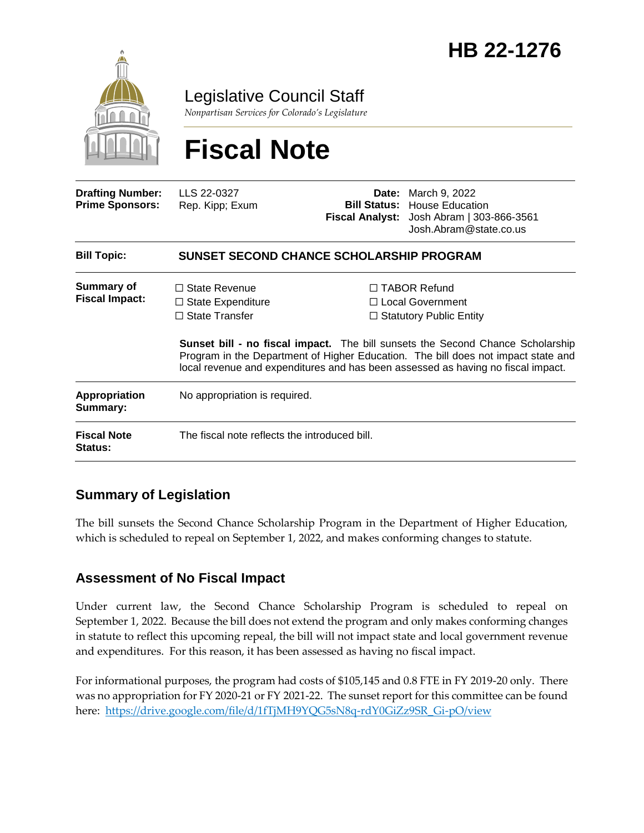

Legislative Council Staff

*Nonpartisan Services for Colorado's Legislature*

# **Fiscal Note**

| <b>Drafting Number:</b><br><b>Prime Sponsors:</b> | LLS 22-0327<br>Rep. Kipp; Exum                                            |  | <b>Date:</b> March 9, 2022<br><b>Bill Status:</b> House Education<br><b>Fiscal Analyst:</b> Josh Abram   303-866-3561<br>Josh.Abram@state.co.us                                                                                                                                                                                                    |
|---------------------------------------------------|---------------------------------------------------------------------------|--|----------------------------------------------------------------------------------------------------------------------------------------------------------------------------------------------------------------------------------------------------------------------------------------------------------------------------------------------------|
| <b>Bill Topic:</b>                                | SUNSET SECOND CHANCE SCHOLARSHIP PROGRAM                                  |  |                                                                                                                                                                                                                                                                                                                                                    |
| <b>Summary of</b><br><b>Fiscal Impact:</b>        | $\Box$ State Revenue<br>$\Box$ State Expenditure<br>$\Box$ State Transfer |  | $\Box$ TABOR Refund<br>$\Box$ Local Government<br>$\Box$ Statutory Public Entity<br><b>Sunset bill - no fiscal impact.</b> The bill sunsets the Second Chance Scholarship<br>Program in the Department of Higher Education. The bill does not impact state and<br>local revenue and expenditures and has been assessed as having no fiscal impact. |
| Appropriation<br>Summary:                         | No appropriation is required.                                             |  |                                                                                                                                                                                                                                                                                                                                                    |
| <b>Fiscal Note</b><br><b>Status:</b>              | The fiscal note reflects the introduced bill.                             |  |                                                                                                                                                                                                                                                                                                                                                    |

## **Summary of Legislation**

The bill sunsets the Second Chance Scholarship Program in the Department of Higher Education, which is scheduled to repeal on September 1, 2022, and makes conforming changes to statute.

### **Assessment of No Fiscal Impact**

Under current law, the Second Chance Scholarship Program is scheduled to repeal on September 1, 2022. Because the bill does not extend the program and only makes conforming changes in statute to reflect this upcoming repeal, the bill will not impact state and local government revenue and expenditures. For this reason, it has been assessed as having no fiscal impact.

For informational purposes, the program had costs of \$105,145 and 0.8 FTE in FY 2019-20 only. There was no appropriation for FY 2020-21 or FY 2021-22. The sunset report for this committee can be found here: [https://drive.google.com/file/d/1fTjMH9YQG5sN8q-rdY0GiZz9SR\\_Gi-pO/view](https://drive.google.com/file/d/1fTjMH9YQG5sN8q-rdY0GiZz9SR_Gi-pO/view)